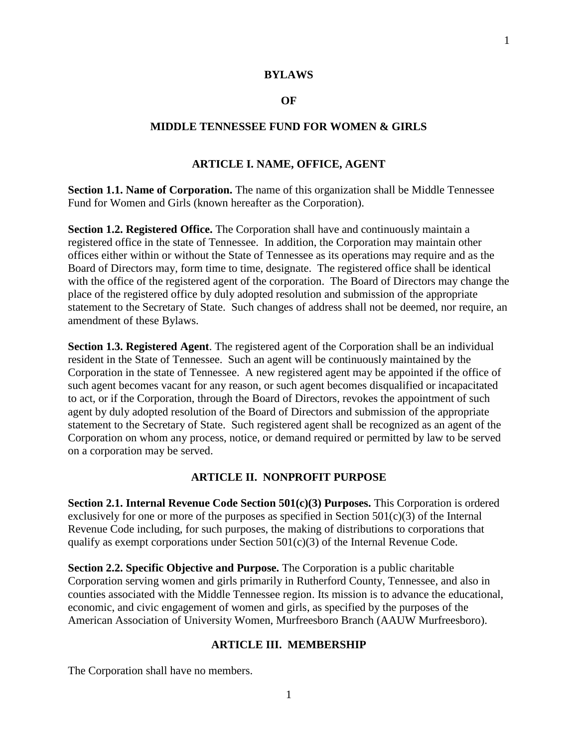#### **BYLAWS**

#### **OF**

### **MIDDLE TENNESSEE FUND FOR WOMEN & GIRLS**

#### **ARTICLE I. NAME, OFFICE, AGENT**

**Section 1.1. Name of Corporation.** The name of this organization shall be Middle Tennessee Fund for Women and Girls (known hereafter as the Corporation).

**Section 1.2. Registered Office.** The Corporation shall have and continuously maintain a registered office in the state of Tennessee. In addition, the Corporation may maintain other offices either within or without the State of Tennessee as its operations may require and as the Board of Directors may, form time to time, designate. The registered office shall be identical with the office of the registered agent of the corporation. The Board of Directors may change the place of the registered office by duly adopted resolution and submission of the appropriate statement to the Secretary of State. Such changes of address shall not be deemed, nor require, an amendment of these Bylaws.

**Section 1.3. Registered Agent**. The registered agent of the Corporation shall be an individual resident in the State of Tennessee. Such an agent will be continuously maintained by the Corporation in the state of Tennessee. A new registered agent may be appointed if the office of such agent becomes vacant for any reason, or such agent becomes disqualified or incapacitated to act, or if the Corporation, through the Board of Directors, revokes the appointment of such agent by duly adopted resolution of the Board of Directors and submission of the appropriate statement to the Secretary of State. Such registered agent shall be recognized as an agent of the Corporation on whom any process, notice, or demand required or permitted by law to be served on a corporation may be served.

#### **ARTICLE II. NONPROFIT PURPOSE**

**Section 2.1. Internal Revenue Code Section 501(c)(3) Purposes.** This Corporation is ordered exclusively for one or more of the purposes as specified in Section  $501(c)(3)$  of the Internal Revenue Code including, for such purposes, the making of distributions to corporations that qualify as exempt corporations under Section  $501(c)(3)$  of the Internal Revenue Code.

**Section 2.2. Specific Objective and Purpose.** The Corporation is a public charitable Corporation serving women and girls primarily in Rutherford County, Tennessee, and also in counties associated with the Middle Tennessee region. Its mission is to advance the educational, economic, and civic engagement of women and girls, as specified by the purposes of the American Association of University Women, Murfreesboro Branch (AAUW Murfreesboro).

### **ARTICLE III. MEMBERSHIP**

The Corporation shall have no members.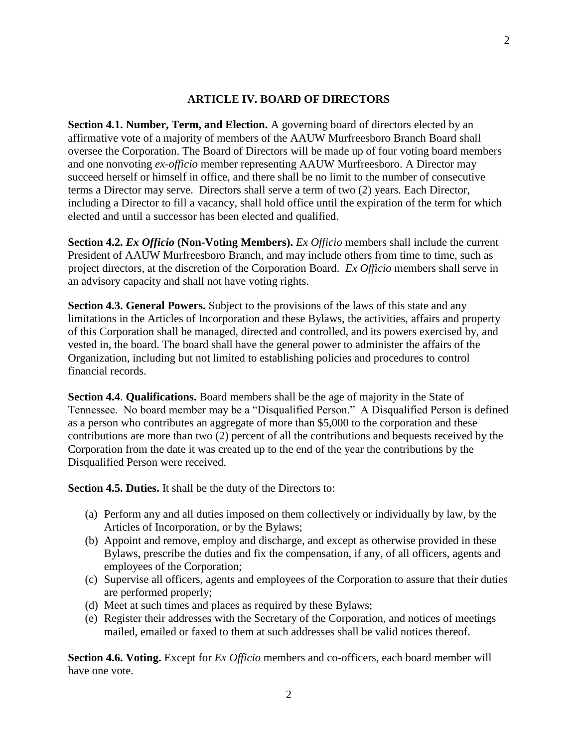### **ARTICLE IV. BOARD OF DIRECTORS**

**Section 4.1. Number, Term, and Election.** A governing board of directors elected by an affirmative vote of a majority of members of the AAUW Murfreesboro Branch Board shall oversee the Corporation. The Board of Directors will be made up of four voting board members and one nonvoting *ex-officio* member representing AAUW Murfreesboro. A Director may succeed herself or himself in office, and there shall be no limit to the number of consecutive terms a Director may serve. Directors shall serve a term of two (2) years. Each Director, including a Director to fill a vacancy, shall hold office until the expiration of the term for which elected and until a successor has been elected and qualified.

**Section 4.2.** *Ex Officio* **(Non-Voting Members).** *Ex Officio* members shall include the current President of AAUW Murfreesboro Branch, and may include others from time to time, such as project directors, at the discretion of the Corporation Board. *Ex Officio* members shall serve in an advisory capacity and shall not have voting rights.

**Section 4.3. General Powers.** Subject to the provisions of the laws of this state and any limitations in the Articles of Incorporation and these Bylaws, the activities, affairs and property of this Corporation shall be managed, directed and controlled, and its powers exercised by, and vested in, the board. The board shall have the general power to administer the affairs of the Organization, including but not limited to establishing policies and procedures to control financial records.

**Section 4.4**. **Qualifications.** Board members shall be the age of majority in the State of Tennessee. No board member may be a "Disqualified Person." A Disqualified Person is defined as a person who contributes an aggregate of more than \$5,000 to the corporation and these contributions are more than two (2) percent of all the contributions and bequests received by the Corporation from the date it was created up to the end of the year the contributions by the Disqualified Person were received.

**Section 4.5. Duties.** It shall be the duty of the Directors to:

- (a) Perform any and all duties imposed on them collectively or individually by law, by the Articles of Incorporation, or by the Bylaws;
- (b) Appoint and remove, employ and discharge, and except as otherwise provided in these Bylaws, prescribe the duties and fix the compensation, if any, of all officers, agents and employees of the Corporation;
- (c) Supervise all officers, agents and employees of the Corporation to assure that their duties are performed properly;
- (d) Meet at such times and places as required by these Bylaws;
- (e) Register their addresses with the Secretary of the Corporation, and notices of meetings mailed, emailed or faxed to them at such addresses shall be valid notices thereof.

**Section 4.6. Voting.** Except for *Ex Officio* members and co-officers, each board member will have one vote.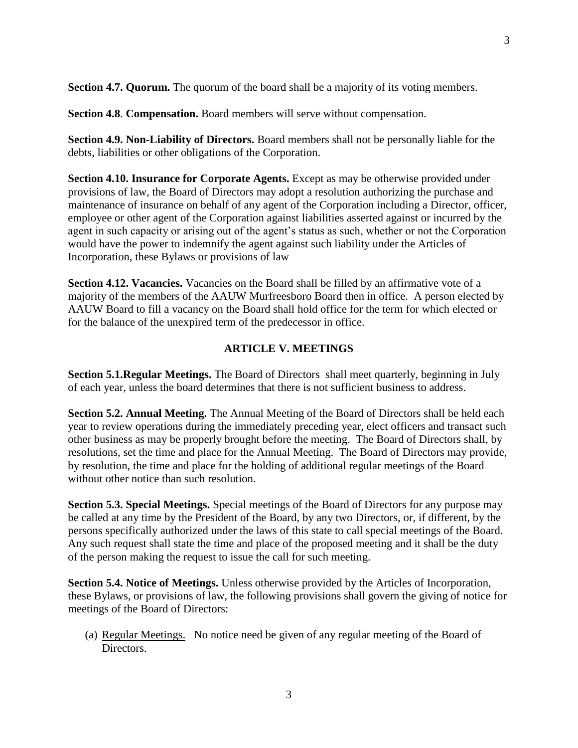**Section 4.7. Quorum.** The quorum of the board shall be a majority of its voting members.

**Section 4.8**. **Compensation.** Board members will serve without compensation.

**Section 4.9. Non-Liability of Directors.** Board members shall not be personally liable for the debts, liabilities or other obligations of the Corporation.

**Section 4.10. Insurance for Corporate Agents.** Except as may be otherwise provided under provisions of law, the Board of Directors may adopt a resolution authorizing the purchase and maintenance of insurance on behalf of any agent of the Corporation including a Director, officer, employee or other agent of the Corporation against liabilities asserted against or incurred by the agent in such capacity or arising out of the agent's status as such, whether or not the Corporation would have the power to indemnify the agent against such liability under the Articles of Incorporation, these Bylaws or provisions of law

**Section 4.12. Vacancies.** Vacancies on the Board shall be filled by an affirmative vote of a majority of the members of the AAUW Murfreesboro Board then in office. A person elected by AAUW Board to fill a vacancy on the Board shall hold office for the term for which elected or for the balance of the unexpired term of the predecessor in office.

### **ARTICLE V. MEETINGS**

**Section 5.1.Regular Meetings.** The Board of Directors shall meet quarterly, beginning in July of each year, unless the board determines that there is not sufficient business to address.

**Section 5.2. Annual Meeting.** The Annual Meeting of the Board of Directors shall be held each year to review operations during the immediately preceding year, elect officers and transact such other business as may be properly brought before the meeting. The Board of Directors shall, by resolutions, set the time and place for the Annual Meeting. The Board of Directors may provide, by resolution, the time and place for the holding of additional regular meetings of the Board without other notice than such resolution.

**Section 5.3. Special Meetings.** Special meetings of the Board of Directors for any purpose may be called at any time by the President of the Board, by any two Directors, or, if different, by the persons specifically authorized under the laws of this state to call special meetings of the Board. Any such request shall state the time and place of the proposed meeting and it shall be the duty of the person making the request to issue the call for such meeting.

**Section 5.4. Notice of Meetings.** Unless otherwise provided by the Articles of Incorporation, these Bylaws, or provisions of law, the following provisions shall govern the giving of notice for meetings of the Board of Directors:

(a) Regular Meetings. No notice need be given of any regular meeting of the Board of Directors.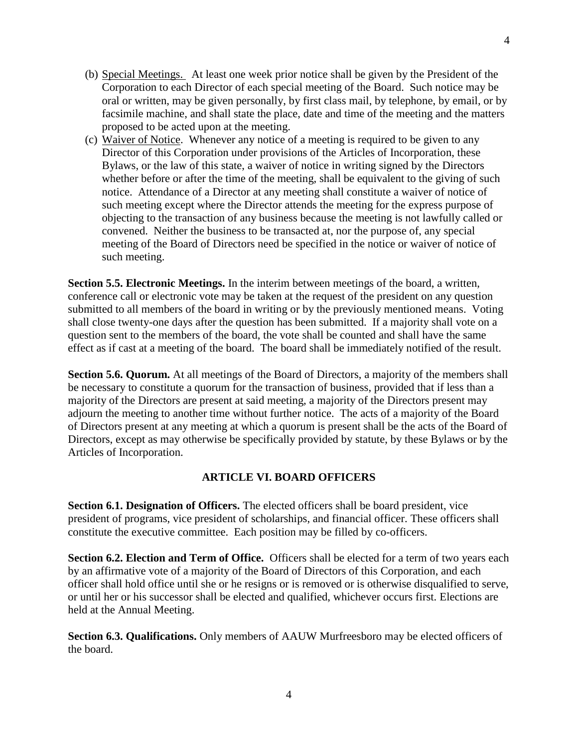- (b) Special Meetings. At least one week prior notice shall be given by the President of the Corporation to each Director of each special meeting of the Board. Such notice may be oral or written, may be given personally, by first class mail, by telephone, by email, or by facsimile machine, and shall state the place, date and time of the meeting and the matters proposed to be acted upon at the meeting.
- (c) Waiver of Notice. Whenever any notice of a meeting is required to be given to any Director of this Corporation under provisions of the Articles of Incorporation, these Bylaws, or the law of this state, a waiver of notice in writing signed by the Directors whether before or after the time of the meeting, shall be equivalent to the giving of such notice. Attendance of a Director at any meeting shall constitute a waiver of notice of such meeting except where the Director attends the meeting for the express purpose of objecting to the transaction of any business because the meeting is not lawfully called or convened. Neither the business to be transacted at, nor the purpose of, any special meeting of the Board of Directors need be specified in the notice or waiver of notice of such meeting.

**Section 5.5. Electronic Meetings.** In the interim between meetings of the board, a written, conference call or electronic vote may be taken at the request of the president on any question submitted to all members of the board in writing or by the previously mentioned means. Voting shall close twenty-one days after the question has been submitted. If a majority shall vote on a question sent to the members of the board, the vote shall be counted and shall have the same effect as if cast at a meeting of the board. The board shall be immediately notified of the result.

**Section 5.6. Quorum.** At all meetings of the Board of Directors, a majority of the members shall be necessary to constitute a quorum for the transaction of business, provided that if less than a majority of the Directors are present at said meeting, a majority of the Directors present may adjourn the meeting to another time without further notice. The acts of a majority of the Board of Directors present at any meeting at which a quorum is present shall be the acts of the Board of Directors, except as may otherwise be specifically provided by statute, by these Bylaws or by the Articles of Incorporation.

# **ARTICLE VI. BOARD OFFICERS**

**Section 6.1. Designation of Officers.** The elected officers shall be board president, vice president of programs, vice president of scholarships, and financial officer. These officers shall constitute the executive committee. Each position may be filled by co-officers.

**Section 6.2. Election and Term of Office.** Officers shall be elected for a term of two years each by an affirmative vote of a majority of the Board of Directors of this Corporation, and each officer shall hold office until she or he resigns or is removed or is otherwise disqualified to serve, or until her or his successor shall be elected and qualified, whichever occurs first. Elections are held at the Annual Meeting.

**Section 6.3. Qualifications.** Only members of AAUW Murfreesboro may be elected officers of the board.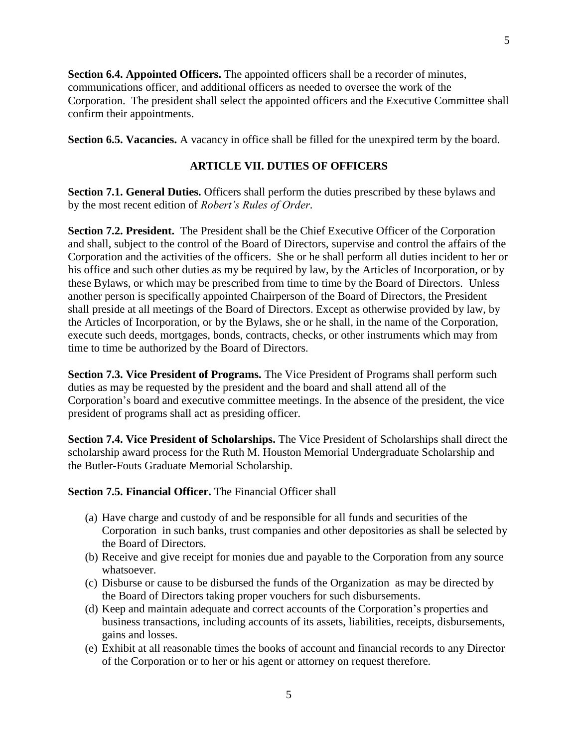**Section 6.4. Appointed Officers.** The appointed officers shall be a recorder of minutes, communications officer, and additional officers as needed to oversee the work of the Corporation. The president shall select the appointed officers and the Executive Committee shall confirm their appointments.

**Section 6.5. Vacancies.** A vacancy in office shall be filled for the unexpired term by the board.

# **ARTICLE VII. DUTIES OF OFFICERS**

**Section 7.1. General Duties.** Officers shall perform the duties prescribed by these bylaws and by the most recent edition of *Robert's Rules of Order*.

**Section 7.2. President.** The President shall be the Chief Executive Officer of the Corporation and shall, subject to the control of the Board of Directors, supervise and control the affairs of the Corporation and the activities of the officers. She or he shall perform all duties incident to her or his office and such other duties as my be required by law, by the Articles of Incorporation, or by these Bylaws, or which may be prescribed from time to time by the Board of Directors. Unless another person is specifically appointed Chairperson of the Board of Directors, the President shall preside at all meetings of the Board of Directors. Except as otherwise provided by law, by the Articles of Incorporation, or by the Bylaws, she or he shall, in the name of the Corporation, execute such deeds, mortgages, bonds, contracts, checks, or other instruments which may from time to time be authorized by the Board of Directors.

**Section 7.3. Vice President of Programs.** The Vice President of Programs shall perform such duties as may be requested by the president and the board and shall attend all of the Corporation's board and executive committee meetings. In the absence of the president, the vice president of programs shall act as presiding officer.

**Section 7.4. Vice President of Scholarships.** The Vice President of Scholarships shall direct the scholarship award process for the Ruth M. Houston Memorial Undergraduate Scholarship and the Butler-Fouts Graduate Memorial Scholarship.

**Section 7.5. Financial Officer.** The Financial Officer shall

- (a) Have charge and custody of and be responsible for all funds and securities of the Corporation in such banks, trust companies and other depositories as shall be selected by the Board of Directors.
- (b) Receive and give receipt for monies due and payable to the Corporation from any source whatsoever.
- (c) Disburse or cause to be disbursed the funds of the Organization as may be directed by the Board of Directors taking proper vouchers for such disbursements.
- (d) Keep and maintain adequate and correct accounts of the Corporation's properties and business transactions, including accounts of its assets, liabilities, receipts, disbursements, gains and losses.
- (e) Exhibit at all reasonable times the books of account and financial records to any Director of the Corporation or to her or his agent or attorney on request therefore.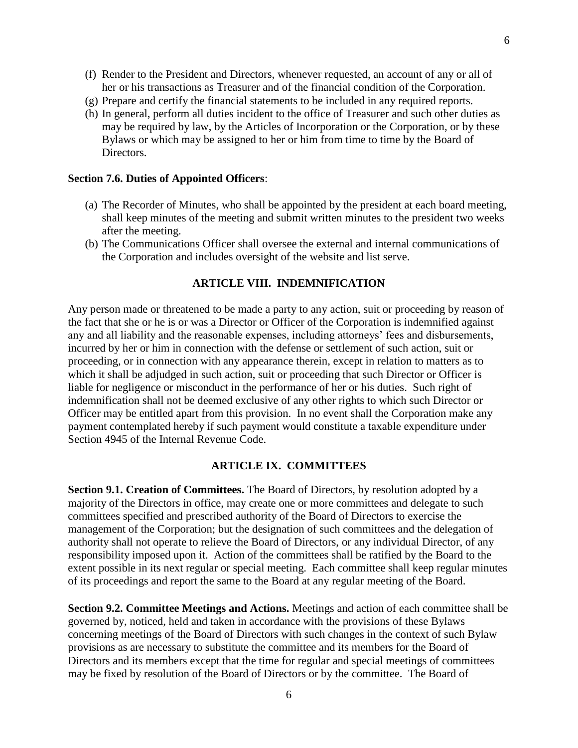- (f) Render to the President and Directors, whenever requested, an account of any or all of her or his transactions as Treasurer and of the financial condition of the Corporation.
- (g) Prepare and certify the financial statements to be included in any required reports.
- (h) In general, perform all duties incident to the office of Treasurer and such other duties as may be required by law, by the Articles of Incorporation or the Corporation, or by these Bylaws or which may be assigned to her or him from time to time by the Board of Directors.

### **Section 7.6. Duties of Appointed Officers**:

- (a) The Recorder of Minutes, who shall be appointed by the president at each board meeting, shall keep minutes of the meeting and submit written minutes to the president two weeks after the meeting.
- (b) The Communications Officer shall oversee the external and internal communications of the Corporation and includes oversight of the website and list serve.

#### **ARTICLE VIII. INDEMNIFICATION**

Any person made or threatened to be made a party to any action, suit or proceeding by reason of the fact that she or he is or was a Director or Officer of the Corporation is indemnified against any and all liability and the reasonable expenses, including attorneys' fees and disbursements, incurred by her or him in connection with the defense or settlement of such action, suit or proceeding, or in connection with any appearance therein, except in relation to matters as to which it shall be adjudged in such action, suit or proceeding that such Director or Officer is liable for negligence or misconduct in the performance of her or his duties. Such right of indemnification shall not be deemed exclusive of any other rights to which such Director or Officer may be entitled apart from this provision. In no event shall the Corporation make any payment contemplated hereby if such payment would constitute a taxable expenditure under Section 4945 of the Internal Revenue Code.

#### **ARTICLE IX. COMMITTEES**

**Section 9.1. Creation of Committees.** The Board of Directors, by resolution adopted by a majority of the Directors in office, may create one or more committees and delegate to such committees specified and prescribed authority of the Board of Directors to exercise the management of the Corporation; but the designation of such committees and the delegation of authority shall not operate to relieve the Board of Directors, or any individual Director, of any responsibility imposed upon it. Action of the committees shall be ratified by the Board to the extent possible in its next regular or special meeting. Each committee shall keep regular minutes of its proceedings and report the same to the Board at any regular meeting of the Board.

**Section 9.2. Committee Meetings and Actions.** Meetings and action of each committee shall be governed by, noticed, held and taken in accordance with the provisions of these Bylaws concerning meetings of the Board of Directors with such changes in the context of such Bylaw provisions as are necessary to substitute the committee and its members for the Board of Directors and its members except that the time for regular and special meetings of committees may be fixed by resolution of the Board of Directors or by the committee. The Board of

6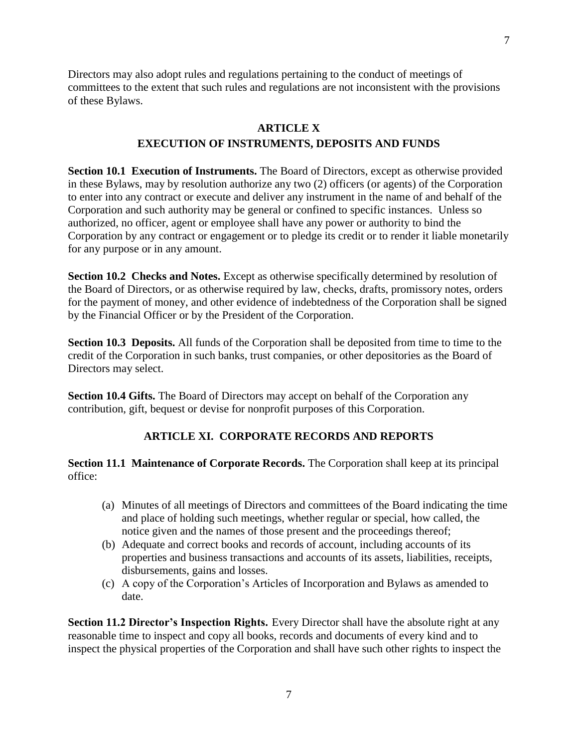Directors may also adopt rules and regulations pertaining to the conduct of meetings of committees to the extent that such rules and regulations are not inconsistent with the provisions of these Bylaws.

### **ARTICLE X**

# **EXECUTION OF INSTRUMENTS, DEPOSITS AND FUNDS**

**Section 10.1 Execution of Instruments.** The Board of Directors, except as otherwise provided in these Bylaws, may by resolution authorize any two (2) officers (or agents) of the Corporation to enter into any contract or execute and deliver any instrument in the name of and behalf of the Corporation and such authority may be general or confined to specific instances. Unless so authorized, no officer, agent or employee shall have any power or authority to bind the Corporation by any contract or engagement or to pledge its credit or to render it liable monetarily for any purpose or in any amount.

**Section 10.2 Checks and Notes.** Except as otherwise specifically determined by resolution of the Board of Directors, or as otherwise required by law, checks, drafts, promissory notes, orders for the payment of money, and other evidence of indebtedness of the Corporation shall be signed by the Financial Officer or by the President of the Corporation.

**Section 10.3 Deposits.** All funds of the Corporation shall be deposited from time to time to the credit of the Corporation in such banks, trust companies, or other depositories as the Board of Directors may select.

**Section 10.4 Gifts.** The Board of Directors may accept on behalf of the Corporation any contribution, gift, bequest or devise for nonprofit purposes of this Corporation.

# **ARTICLE XI. CORPORATE RECORDS AND REPORTS**

**Section 11.1 Maintenance of Corporate Records.** The Corporation shall keep at its principal office:

- (a) Minutes of all meetings of Directors and committees of the Board indicating the time and place of holding such meetings, whether regular or special, how called, the notice given and the names of those present and the proceedings thereof;
- (b) Adequate and correct books and records of account, including accounts of its properties and business transactions and accounts of its assets, liabilities, receipts, disbursements, gains and losses.
- (c) A copy of the Corporation's Articles of Incorporation and Bylaws as amended to date.

**Section 11.2 Director's Inspection Rights.** Every Director shall have the absolute right at any reasonable time to inspect and copy all books, records and documents of every kind and to inspect the physical properties of the Corporation and shall have such other rights to inspect the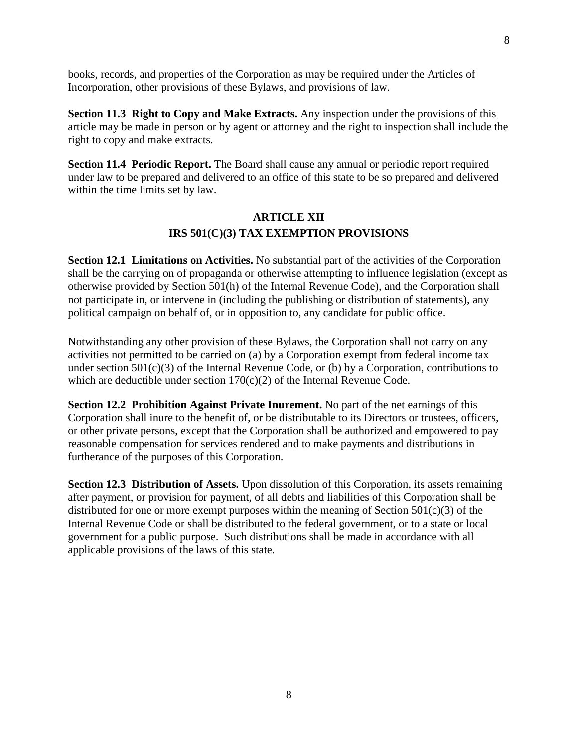books, records, and properties of the Corporation as may be required under the Articles of Incorporation, other provisions of these Bylaws, and provisions of law.

**Section 11.3 Right to Copy and Make Extracts.** Any inspection under the provisions of this article may be made in person or by agent or attorney and the right to inspection shall include the right to copy and make extracts.

**Section 11.4 Periodic Report.** The Board shall cause any annual or periodic report required under law to be prepared and delivered to an office of this state to be so prepared and delivered within the time limits set by law.

# **ARTICLE XII IRS 501(C)(3) TAX EXEMPTION PROVISIONS**

**Section 12.1 Limitations on Activities.** No substantial part of the activities of the Corporation shall be the carrying on of propaganda or otherwise attempting to influence legislation (except as otherwise provided by Section 501(h) of the Internal Revenue Code), and the Corporation shall not participate in, or intervene in (including the publishing or distribution of statements), any political campaign on behalf of, or in opposition to, any candidate for public office.

Notwithstanding any other provision of these Bylaws, the Corporation shall not carry on any activities not permitted to be carried on (a) by a Corporation exempt from federal income tax under section 501(c)(3) of the Internal Revenue Code, or (b) by a Corporation, contributions to which are deductible under section  $170(c)(2)$  of the Internal Revenue Code.

**Section 12.2 Prohibition Against Private Inurement.** No part of the net earnings of this Corporation shall inure to the benefit of, or be distributable to its Directors or trustees, officers, or other private persons, except that the Corporation shall be authorized and empowered to pay reasonable compensation for services rendered and to make payments and distributions in furtherance of the purposes of this Corporation.

**Section 12.3 Distribution of Assets.** Upon dissolution of this Corporation, its assets remaining after payment, or provision for payment, of all debts and liabilities of this Corporation shall be distributed for one or more exempt purposes within the meaning of Section  $501(c)(3)$  of the Internal Revenue Code or shall be distributed to the federal government, or to a state or local government for a public purpose. Such distributions shall be made in accordance with all applicable provisions of the laws of this state.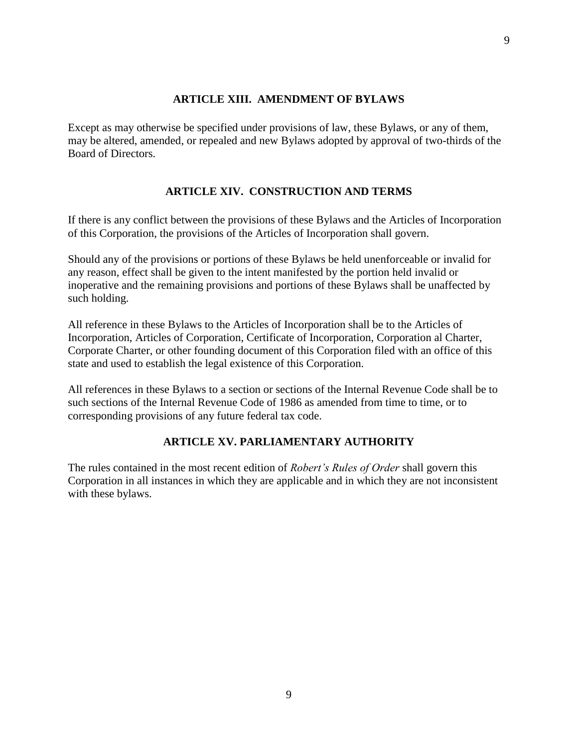### **ARTICLE XIII. AMENDMENT OF BYLAWS**

Except as may otherwise be specified under provisions of law, these Bylaws, or any of them, may be altered, amended, or repealed and new Bylaws adopted by approval of two-thirds of the Board of Directors.

### **ARTICLE XIV. CONSTRUCTION AND TERMS**

If there is any conflict between the provisions of these Bylaws and the Articles of Incorporation of this Corporation, the provisions of the Articles of Incorporation shall govern.

Should any of the provisions or portions of these Bylaws be held unenforceable or invalid for any reason, effect shall be given to the intent manifested by the portion held invalid or inoperative and the remaining provisions and portions of these Bylaws shall be unaffected by such holding.

All reference in these Bylaws to the Articles of Incorporation shall be to the Articles of Incorporation, Articles of Corporation, Certificate of Incorporation, Corporation al Charter, Corporate Charter, or other founding document of this Corporation filed with an office of this state and used to establish the legal existence of this Corporation.

All references in these Bylaws to a section or sections of the Internal Revenue Code shall be to such sections of the Internal Revenue Code of 1986 as amended from time to time, or to corresponding provisions of any future federal tax code.

#### **ARTICLE XV. PARLIAMENTARY AUTHORITY**

The rules contained in the most recent edition of *Robert's Rules of Order* shall govern this Corporation in all instances in which they are applicable and in which they are not inconsistent with these bylaws.